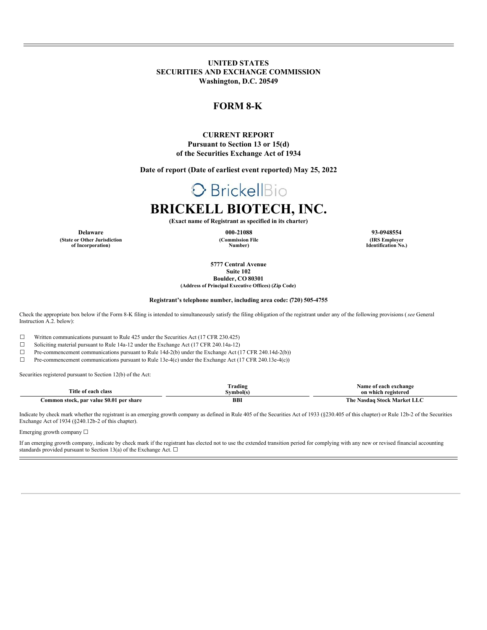**UNITED STATES SECURITIES AND EXCHANGE COMMISSION Washington, D.C. 20549**

## **FORM 8-K**

#### **CURRENT REPORT Pursuant to Section 13 or 15(d) of the Securities Exchange Act of 1934**

**Date of report (Date of earliest event reported) May 25, 2022**

## **O** BrickellBio

## **BRICKELL BIOTECH, INC.**

**(Exact name of Registrant as specified in its charter)**

**(Commission File Number)**

**Delaware 000-21088 93-0948554 (IRS Employer Identification No.)**

> **5777 Central Avenue Suite 102**

**Boulder, CO 80301 (Address of Principal Executive Offices) (Zip Code)**

#### **Registrant's telephone number, including area code: (720) 505-4755**

Check the appropriate box below if the Form 8-K filing is intended to simultaneously satisfy the filing obligation of the registrant under any of the following provisions (*see* General Instruction A.2. below):

☐ Written communications pursuant to Rule 425 under the Securities Act (17 CFR 230.425)

☐ Soliciting material pursuant to Rule 14a-12 under the Exchange Act (17 CFR 240.14a-12)

☐ Pre-commencement communications pursuant to Rule 14d-2(b) under the Exchange Act (17 CFR 240.14d-2(b))

☐ Pre-commencement communications pursuant to Rule 13e-4(c) under the Exchange Act (17 CFR 240.13e-4(c))

Securities registered pursuant to Section 12(b) of the Act:

**(State or Other Jurisdiction of Incorporation)**

| --<br>itle<br>elacı<br>ו הב                            | Frading | Vamo<br>exchange<br>on which<br>- reaisteren - |  |
|--------------------------------------------------------|---------|------------------------------------------------|--|
| : \$0.0°<br>shar<br>ommon stock. par value<br>nei<br>. | BBI     | Mari<br>.510eV<br>r ne-<br>vasdag              |  |

Indicate by check mark whether the registrant is an emerging growth company as defined in Rule 405 of the Securities Act of 1933 (§230.405 of this chapter) or Rule 12b-2 of the Securities Exchange Act of 1934 (§240.12b-2 of this chapter).

Emerging growth company  $\Box$ 

If an emerging growth company, indicate by check mark if the registrant has elected not to use the extended transition period for complying with any new or revised financial accounting standards provided pursuant to Section 13(a) of the Exchange Act.  $\square$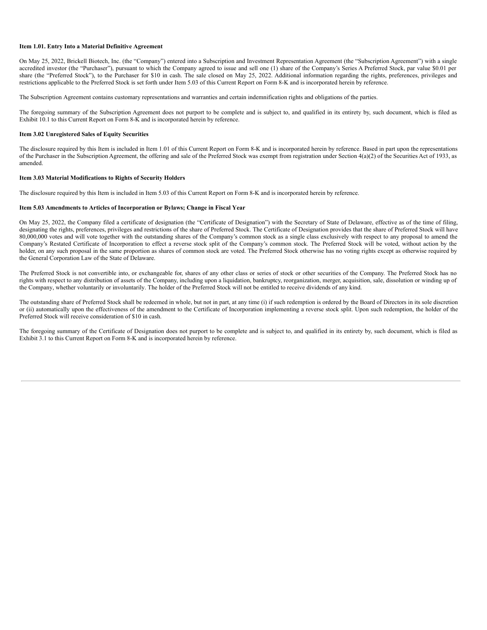#### **Item 1.01. Entry Into a Material Definitive Agreement**

On May 25, 2022, Brickell Biotech, Inc. (the "Company") entered into a Subscription and Investment Representation Agreement (the "Subscription Agreement") with a single accredited investor (the "Purchaser"), pursuant to which the Company agreed to issue and sell one (1) share of the Company's Series A Preferred Stock, par value \$0.01 per share (the "Preferred Stock"), to the Purchaser for \$10 in cash. The sale closed on May 25, 2022. Additional information regarding the rights, preferences, privileges and restrictions applicable to the Preferred Stock is set forth under Item 5.03 of this Current Report on Form 8-K and is incorporated herein by reference.

The Subscription Agreement contains customary representations and warranties and certain indemnification rights and obligations of the parties.

The foregoing summary of the Subscription Agreement does not purport to be complete and is subject to, and qualified in its entirety by, such document, which is filed as Exhibit 10.1 to this Current Report on Form 8-K and is incorporated herein by reference.

#### **Item 3.02 Unregistered Sales of Equity Securities**

The disclosure required by this Item is included in Item 1.01 of this Current Report on Form 8-K and is incorporated herein by reference. Based in part upon the representations of the Purchaser in the Subscription Agreement, the offering and sale of the Preferred Stock was exempt from registration under Section 4(a)(2) of the Securities Act of 1933, as amended.

#### **Item 3.03 Material Modifications to Rights of Security Holders**

The disclosure required by this Item is included in Item 5.03 of this Current Report on Form 8-K and is incorporated herein by reference.

#### **Item 5.03 Amendments to Articles of Incorporation or Bylaws; Change in Fiscal Year**

On May 25, 2022, the Company filed a certificate of designation (the "Certificate of Designation") with the Secretary of State of Delaware, effective as of the time of filing, designating the rights, preferences, privileges and restrictions of the share of Preferred Stock. The Certificate of Designation provides that the share of Preferred Stock will have 80,000,000 votes and will vote together with the outstanding shares of the Company's common stock as a single class exclusively with respect to any proposal to amend the Company's Restated Certificate of Incorporation to effect a reverse stock split of the Company's common stock. The Preferred Stock will be voted, without action by the holder, on any such proposal in the same proportion as shares of common stock are voted. The Preferred Stock otherwise has no voting rights except as otherwise required by the General Corporation Law of the State of Delaware.

The Preferred Stock is not convertible into, or exchangeable for, shares of any other class or series of stock or other securities of the Company. The Preferred Stock has no rights with respect to any distribution of assets of the Company, including upon a liquidation, bankruptcy, reorganization, merger, acquisition, sale, dissolution or winding up of the Company, whether voluntarily or involuntarily. The holder of the Preferred Stock will not be entitled to receive dividends of any kind.

The outstanding share of Preferred Stock shall be redeemed in whole, but not in part, at any time (i) if such redemption is ordered by the Board of Directors in its sole discretion or (ii) automatically upon the effectiveness of the amendment to the Certificate of Incorporation implementing a reverse stock split. Upon such redemption, the holder of the Preferred Stock will receive consideration of \$10 in cash.

The foregoing summary of the Certificate of Designation does not purport to be complete and is subject to, and qualified in its entirety by, such document, which is filed as Exhibit 3.1 to this Current Report on Form 8-K and is incorporated herein by reference.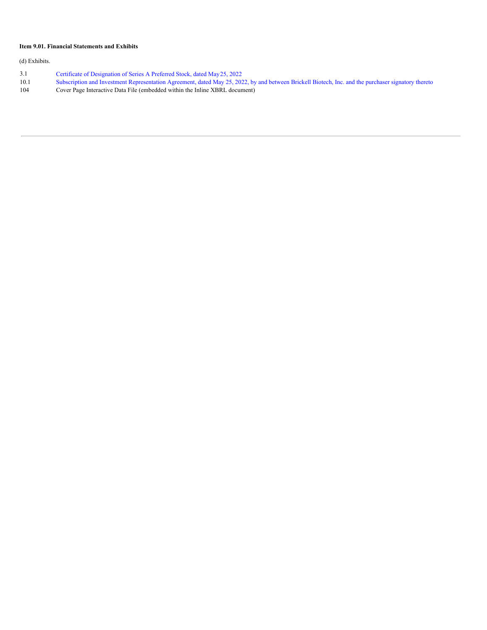#### **Item 9.01. Financial Statements and Exhibits**

(d) Exhibits.

- 3.1 Certificate of [Designation](#page-5-0) of Series A Preferred Stock, dated May[25](#page-5-0), [2022](#page-5-0)
- 10.1 Subscription and Investment [Representation](#page-9-0) Agreement, dated May 25, 2022, by and between Brickell Biotech, Inc. and the purchaser signatory thereto
- 104 Cover Page Interactive Data File (embedded within the Inline XBRL document)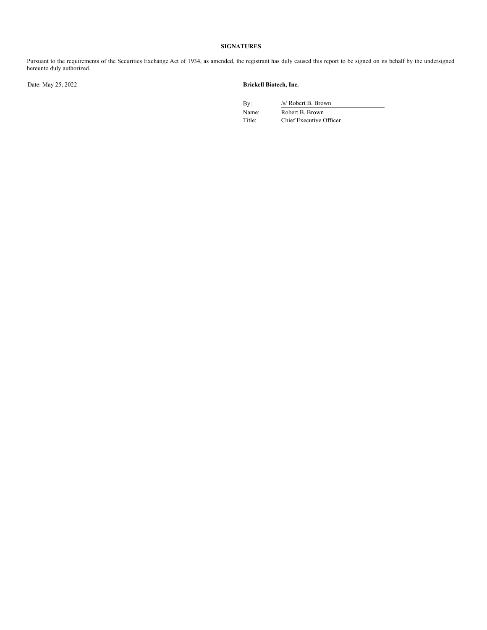#### **SIGNATURES**

Pursuant to the requirements of the Securities Exchange Act of 1934, as amended, the registrant has duly caused this report to be signed on its behalf by the undersigned hereunto duly authorized.

#### Date: May 25, 2022 **Brickell Biotech, Inc.**

By: /s/ Robert B. Brown

Name: Robert B. Brown Title: Chief Executive Officer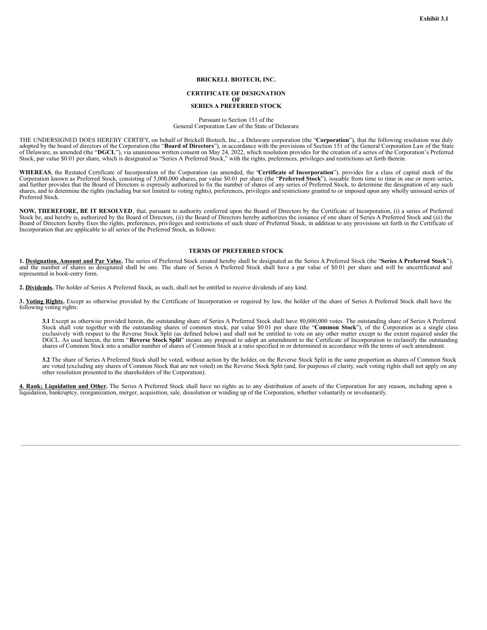#### **BRICKELL BIOTECH, INC.**

### **CERTIFICATE OF DESIGNATION OF SERIES A PREFERRED STOCK**

Pursuant to Section 151 of the General Corporation Law of the State of Delaware

THE UNDERSIGNED DOES HEREBY CERTIFY, on behalf of Brickell Biotech, Inc., a Delaware corporation (the "**Corporation**"), that the following resolution was duly adopted by the board of directors of the Corporation (the "**Boa** of Delaware, as amended (the "DGCL"), via unanimous written consent on May 24, 2022, which resolution provides for the creation of a series of the Corporation's Preferred Stock, par value \$0.01 per share, which is designat

**WHEREAS**, the Restated Certificate of Incorporation of the Corporation (as amended, the "**Certificate of Incorporation**"), provides for a class of capital stock of the Corporation known as Preferred Stock, consisting of 5,000,000 shares, par value \$0.01 per share (the "**Preferred Stock**"), issuable from time to time in one or more series, and further provides that the Board of Directors is expressly authorized to fix the number of shares of any series of Preferred Stock, to determine the designation of any such shares, and to determine the rights (including but not limited to voting rights), preferences, privileges and restrictions granted to or imposed upon any wholly unissued series of Preferred Stock.

**NOW, THEREFORE, BE IT RESOLVED**, that, pursuant to authority conferred upon the Board of Directors by the Certificate of Incorporation, (i) a series of Preferred Stock be, and hereby is, authorized by the Board of Directors, (ii) the Board of Directors hereby authorizes the issuance of one share of Series A Preferred Stock and (iii) the Board of Directors hereby fixes the rights, preferences, privileges and restrictions of such share of Preferred Stock, in addition to any provisions set forth in the Certificate of<br>Incorporation that are applicable to all

#### **TERMS OF PREFERRED STOCK**

1. Designation, Amount and Par Value. The series of Preferred Stock created hereby shall be designated as the Series A Preferred Stock (the "Series A Preferred Stock"). and the number of shares so designated shall be one. The share of Series A Preferred Stock shall have a par value of \$0.01 per share and will be uncertificated and represented in book-entry form.

**2. Dividends.** The holder of Series A Preferred Stock, as such, shall not be entitled to receive dividends of any kind.

**3. Voting Rights.** Except as otherwise provided by the Certificate of Incorporation or required by law, the holder of the share of Series A Preferred Stock shall have the following voting rights:

**3.1** Except as otherwise provided herein, the outstanding share of Series A Preferred Stock shall have 80,000,000 votes. The outstanding share of Series A Preferred Stock shall vote together with the outstanding shares of common stock, par value \$0.01 per share (the "**Common Stock**"), of the Corporation as a single class exclusively with respect to the Reverse Stock Split (as defined below) and shall not be entitled to vote on any other matter except to the extent required under the DGCL. As used herein, the term "**Reverse Stock Split**" means any proposal to adopt an amendment to the Certificate of Incorporation to reclassify the outstanding shares of Common Stock into a smaller number of shares of Common Stock at a ratio specified in or determined in accordance with the terms of such amendment.

3.2 The share of Series A Preferred Stock shall be voted, without action by the holder, on the Reverse Stock Split in the same proportion as shares of Common Stock are voted (excluding any shares of Common Stock that are n other resolution presented to the shareholders of the Corporation).

4. Rank; Liquidation and Other. The Series A Preferred Stock shall have no rights as to any distribution of assets of the Corporation for any reason, including upon a liquidation, bankruptcy, reorganization, merger, acquis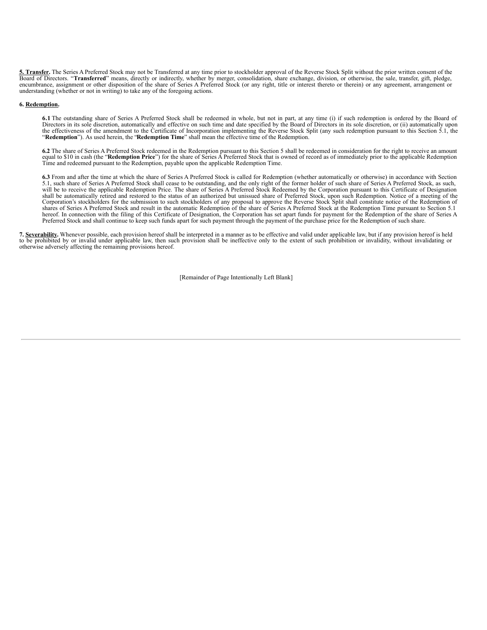<span id="page-5-0"></span>**5. Transfer.** The Series A Preferred Stock may not be Transferred at any time prior to stockholder approval of the Reverse Stock Split without the prior written consent of the Board of Directors. "Transferred" means, directly or indirectly, whether by merger, consolidation, share exchange, division, or otherwise, the sale, transfer, gift, pledge, encumbrance, assignment or other disposition of t understanding (whether or not in writing) to take any of the foregoing actions.

#### **6. Redemption.**

6.1 The outstanding share of Series A Preferred Stock shall be redeemed in whole, but not in part, at any time (i) if such redemption is ordered by the Board of Directors in its sole discretion, automatically and effective the effectiveness of the amendment to the Certificate of Incorporation implementing the Reverse Stock Split (any such redemption pursuant to this Section 5.1, the "Redemption"). As used herein, the "Redemption Time" shall

**6.2** The share of Series A Preferred Stock redeemed in the Redemption pursuant to this Section 5 shall be redeemed in consideration for the right to receive an amount equal to \$10 in cash (the "Redemption Price") for the share of Series A Preferred Stock that is owned of record as of immediately prior to the applicable Redemption<br>Time and redeemed pursuant to the Redemption, payable upo

**6.3** From and after the time at which the share of Series A Preferred Stock is called for Redemption (whether automatically or otherwise) in accordance with Section 5.1, such share of Series A Preferred Stock shall cease to be outstanding, and the only right of the former holder of such share of Series A Preferred Stock, as such, will be to receive the applicable Redemption Price. The shall be automatically retired and restored to the status of an authorized but unissued share of Preferred Stock, upon such Redemption. Notice of a meeting of the Corporation's stockholders for the submission to such stockholders of any proposal to approve the Reverse Stock Split shall constitute notice of the Redemption of<br>shares of Series A Preferred Stock and result in the automa hereof. In connection with the filing of this Certificate of Designation, the Corporation has set apart funds for payment for the Redemption of the share of Series A Preferred Stock and shall continue to keep such funds apart for such payment through the payment of the purchase price for the Redemption of such share.

**7. Severability.** Whenever possible, each provision hereof shall be interpreted in a manner as to be effective and valid under applicable law, but if any provision hereof is held to be prohibited by or invalid under applicable law, then such provision shall be ineffective only to the extent of such prohibition or invalidity, without invalidating or otherwise adversely affecting the remaining provisions hereof.

[Remainder of Page Intentionally Left Blank]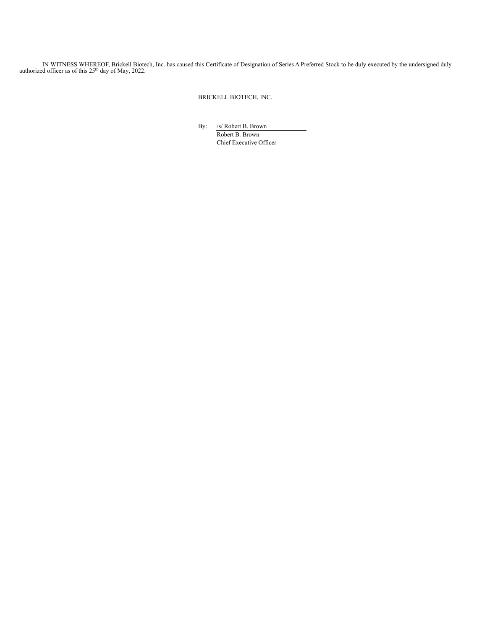IN WITNESS WHEREOF, Brickell Biotech, Inc. has caused this Certificate of Designation of Series A Preferred Stock to be duly executed by the undersigned duly authorized officer as of this 25<sup>th</sup> day of May, 2022.

BRICKELL BIOTECH, INC.

By: /s/ Robert B. Brown Robert B. Brown Chief Executive Officer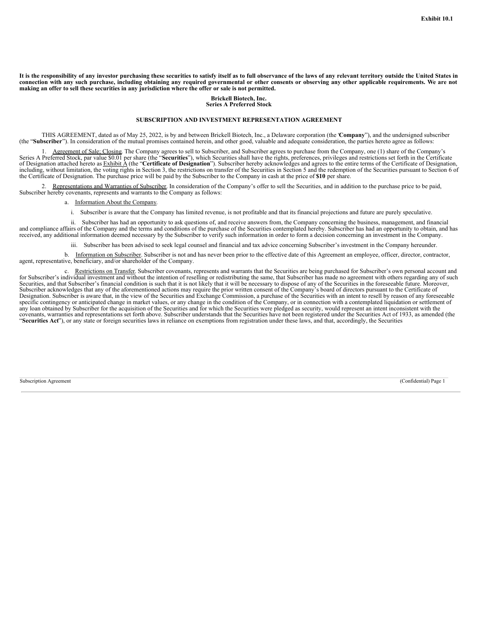It is the responsibility of any investor purchasing these securities to satisfy itself as to full observance of the laws of any relevant territory outside the United States in connection with any such purchase, including obtaining any required governmental or other consents or observing any other applicable requirements. We are not making an offer to sell these securities in any jurisdiction whe

#### **Brickell Biotech, Inc. Series A Preferred Stock**

#### **SUBSCRIPTION AND INVESTMENT REPRESENTATION AGREEMENT**

THIS AGREEMENT, dated as of May 25, 2022, is by and between Brickell Biotech, Inc., a Delaware corporation (the **'Company**"), and the undersigned subscriber (the "Subscriber"). In consideration of the mutual promises conta

Agreement of Sale; Closing. The Company agrees to sell to Subscriber, and Subscriber agrees to purchase from the Company, one (1) share of the Company's Series A Preferred Stock, par value \$0.01 per share (the "**Securities**"), which Securities shall have the rights, preferences, privileges and restrictions set forth in the Certificate of Designation attached hereto as Exhibit A (the "**Certificate of Designation**"). Subscriber hereby acknowledges and agrees to the entire terms of the Certificate of Designation, including, without limitation, the voting rights in Section 3, the restrictions on transfer of the Securities in Section 5 and the redemption of the Securities pursuant to Section 6 of the Certificate of Designation. The purchase price will be paid by the Subscriber to the Company in cash at the price of **\$10** per share.

2. Representations and Warranties of Subscriber. In consideration of the Company's offer to sell the Securities, and in addition to the purchase price to be paid, Subscriber hereby covenants, represents and warrants to the Company as follows:

#### a. Information About the Company.

i. Subscriber is aware that the Company has limited revenue, is not profitable and that its financial projections and future are purely speculative.

ii. Subscriber has had an opportunity to ask questions of, and receive answers from, the Company concerning the business, management, and financial and compliance affairs of the Company and the terms and conditions of the purchase of the Securities contemplated hereby. Subscriber has had an opportunity to obtain, and has received, any additional information deemed necessary by the Subscriber to verify such information in order to form a decision concerning an investment in the Company.

iii. Subscriber has been advised to seek legal counsel and financial and tax advice concerning Subscriber's investment in the Company hereunder.

b. Information on Subscriber. Subscriber is not and has never been prior to the effective date of this Agreement an employee, officer, director, contractor, agent, representative, beneficiary, and/or shareholder of the Company.

c. Restrictions on Transfer. Subscriber covenants, represents and warrants that the Securities are being purchased for Subscriber's own personal account and for Subscriber's individual investment and without the intention Securities, and that Subscriber's financial condition is such that it is not likely that it will be necessary to dispose of any of the Securities in the foreseeable future. Moreover, Subscriber acknowledges that any of the Designation. Subscriber is aware that, in the view of the Securities and Exchange Commission, a purchase of the Securities with an intent to resell by reason of any foreseeable specific contingency or anticipated change in market values, or any change in the condition of the Company, or in connection with a contemplated liquidation or settlement of any loan obtained by Subscriber for the acquisition of the Securities and for which the Securities were pledged as security, would represent an intent inconsistent with the covenants, warranties and representations set forth above. Subscriber understands that the Securities have not been registered under the Securities Act of 1933, as amended (the "**Securities Act**"), or any state or foreign securities laws in reliance on exemptions from registration under these laws, and that, accordingly, the Securities

Subscription Agreement (Confidential) Page 1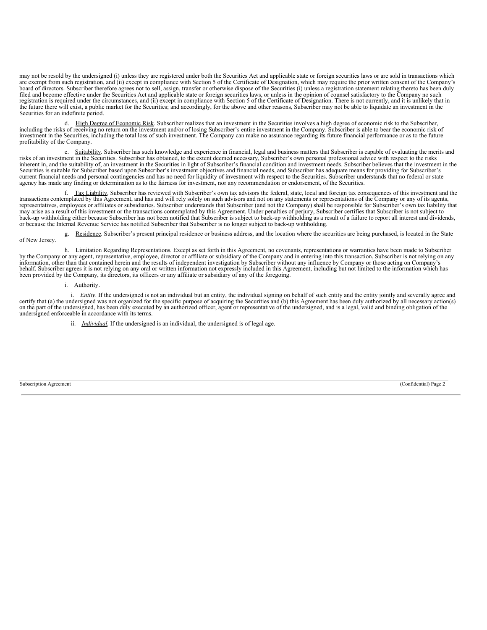may not be resold by the undersigned (i) unless they are registered under both the Securities Act and applicable state or foreign securities laws or are sold in transactions which are exempt from such registration, and (ii) except in compliance with Section 5 of the Certificate of Designation, which may require the prior written consent of the Company's board of directors. Subscriber therefore agrees not to sell, assign, transfer or otherwise dispose of the Securities (i) unless a registration statement relating thereto has been duly filed and become effective under the Securities Act and applicable state or foreign securities laws, or unless in the opinion of counsel satisfactory to the Company no such registration is required under the circumstances, and (ii) except in compliance with Section 5 of the Certificate of Designation. There is not currently, and it is unlikely that in the future there will exist, a public market for the Securities; and accordingly, for the above and other reasons, Subscriber may not be able to liquidate an investment in the Securities for an indefinite period.

High Degree of Economic Risk. Subscriber realizes that an investment in the Securities involves a high degree of economic risk to the Subscriber, including the risks of receiving no return on the investment and/or of losing Subscriber's entire investment in the Company. Subscriber is able to bear the economic risk of investment in the Securities, including the total loss of such investment. The Company can make no assurance regarding its future financial performance or as to the future profitability of the Company.

e. Suitability. Subscriber has such knowledge and experience in financial, legal and business matters that Subscriber is capable of evaluating the merits and risks of an investment in the Securities. Subscriber has obtaine inherent in, and the suitability of, an investment in the Securities in light of Subscriber's financial condition and investment needs. Subscriber believes that the investment in the Securities is suitable for Subscriber based upon Subscriber's investment objectives and financial needs, and Subscriber has adequate means for providing for Subscriber's current financial needs and personal contingencies and has no need for liquidity of investment with respect to the Securities. Subscriber understands that no federal or state agency has made any finding or determination as to the fairness for investment, nor any recommendation or endorsement, of the Securities.

f. Tax Liability. Subscriber has reviewed with Subscriber's own tax advisors the federal, state, local and foreign tax consequences of this investment and the transactions contemplated by this Agreement, and has and will r representatives, employees or affiliates or subsidiaries. Subscriber understands that Subscriber (and not the Company) shall be responsible for Subscriber's own tax liability that may arise as a result of this investment or the transactions contemplated by this Agreement. Under penalties of perjury, Subscriber certifies that Subscriber is not subject to back-up withholding either because Subscriber has not been notified that Subscriber is subject to back-up withholding as a result of a failure to report all interest and dividends, or because the Internal Revenue Service has notified Subscriber that Subscriber is no longer subject to back-up withholding.

g. Residence. Subscriber's present principal residence or business address, and the location where the securities are being purchased, is located in the State of New Jersey.

h. Limitation Regarding Representations. Except as set forth in this Agreement, no covenants, representations or warranties have been made to Subscriber<br>by the Company or any agent, representative, employee, director or af information, other than that contained herein and the results of independent investigation by Subscriber without any influence by Company or those acting on Company's behalf. Subscriber agrees it is not relying on any oral or written information not expressly included in this Agreement, including but not limited to the information which has been provided by the Company, its directors, its officers or any affiliate or subsidiary of any of the foregoing.

i. Authority.

i. *Entity*. If the undersigned is not an individual but an entity, the individual signing on behalf of such entity and the entity jointly and severally agree and certify that (a) the undersigned was not organized for the on the part of the undersigned, has been duly executed by an authorized officer, agent or representative of the undersigned, and is a legal, valid and binding obligation of the undersigned, and is a legal, valid and bindin undersigned enforceable in accordance with its terms.

ii. *Individual*. If the undersigned is an individual, the undersigned is of legal age.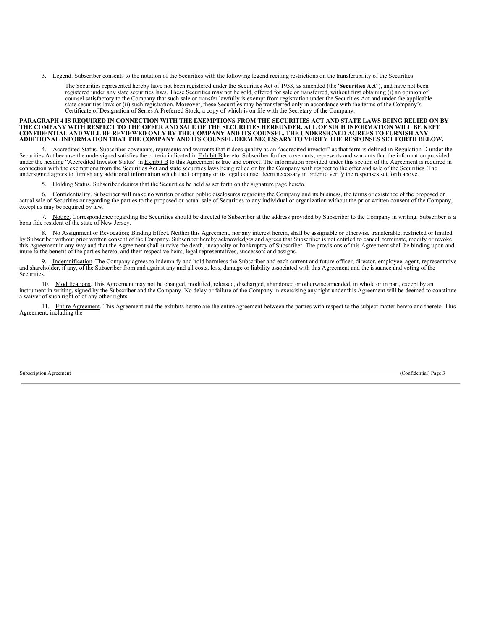<span id="page-9-0"></span>3. Legend. Subscriber consents to the notation of the Securities with the following legend reciting restrictions on the transferability of the Securities:

The Securities represented hereby have not been registered under the Securities Act of 1933, as amended (the "**Securities Act**"), and have not been registered under any state securities laws. These Securities may not be sold, offered for sale or transferred, without first obtaining (i) an opinion of counsel satisfactory to the Company that such sale or transfer lawfully is exempt from registration under the Securities Act and under the applicable state securities laws or (ii) such registration. Moreover, these Securities may be transferred only in accordance with the terms of the Company's Certificate of Designation of Series A Preferred Stock, a copy of which is on file with the Secretary of the Company.

# PARAGRAPH 4 IS REQUIRED IN CONNECTION WITH THE EXEMPTIONS FROM THE SECURITIES ACT AND STATE LAWS BEING RELIED ON BY<br>THE COMPANY WITH RESPECT TO THE OFFER AND SALE OF THE SECURITIES HEREUNDER. ALL OF SUCH INFORMATION WILL B

4. Accredited Status. Subscriber covenants, represents and warrants that it does qualify as an "accredited investor" as that term is defined in Regulation D under the Securities Act because the undersigned satisfies the cr under the heading "Accredited Investor Status" in Exhibit B to this Agreement is true and correct. The information provided under this section of the Agreement is required in connection with the exemptions from the Securities Act and state securities laws being relied on by the Company with respect to the offer and sale of the Securities. The undersigned agrees to furnish any additional information which the Company or its legal counsel deem necessary in order to verify the responses set forth above.

5. Holding Status. Subscriber desires that the Securities be held as set forth on the signature page hereto.

6. Confidentiality. Subscriber will make no written or other public disclosures regarding the Company and its business, the terms or existence of the proposed or actual sale of Securities or regarding the parties to the proposed or actual sale of Securities to any individual or organization without the prior written consent of the Company, except as may be required by law.

7. Notice. Correspondence regarding the Securities should be directed to Subscriber at the address provided by Subscriber to the Company in writing. Subscriber is a bona fide resident of the state of New Jersey.

8. No Assignment or Revocation; Binding Effect. Neither this Agreement, nor any interest herein, shall be assignable or otherwise transferable, restricted or limited by Subscriber without prior written consent of the Compa this Agreement in any way and that the Agreement shall survive the death, incapacity or bankruptcy of Subscriber. The provisions of this Agreement shall be binding upon and inure to the benefit of the parties hereto, and their respective heirs, legal representatives, successors and assigns.

9. Indemnification. The Company agrees to indemnify and hold harmless the Subscriber and each current and future officer, director, employee, agent, representative and shareholder, if any, of the Subscriber from and against any and all costs, loss, damage or liability associated with this Agreement and the issuance and voting of the Securities.

10. Modifications. This Agreement may not be changed, modified, released, discharged, abandoned or otherwise amended, in whole or in part, except by an instrument in writing, signed by the Subscriber and the Company. No de

11. Entire Agreement. This Agreement and the exhibits hereto are the entire agreement between the parties with respect to the subject matter hereto and thereto. This Agreement, including the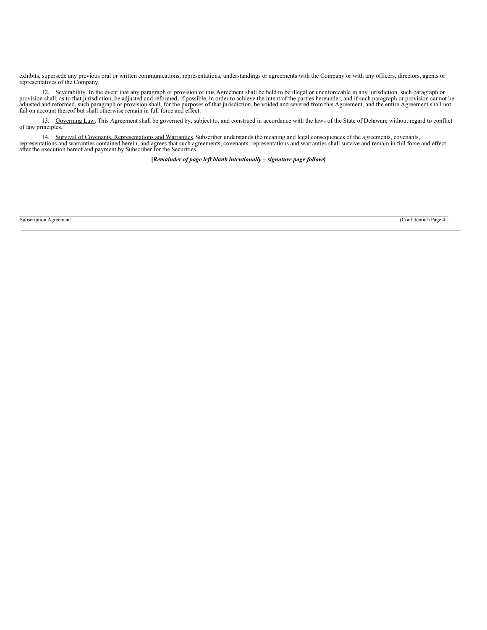exhibits, supersede any previous oral or written communications, representations, understandings or agreements with the Company or with any officers, directors, agents or representatives of the Company.

12. Severability. In the event that any paragraph or provision of this Agreement shall be held to be illegal or unenforceable in any jurisdiction, such paragraph or provision shall, as to that jurisdiction, be adjusted and adjusted and reformed, such paragraph or provision shall, for the purposes of that jurisdiction, be voided and severed from this Agreement, and the entire Agreement shall not<br>fail on account thereof but shall otherwise rem

13. Governing Law. This Agreement shall be governed by, subject to, and construed in accordance with the laws of the State of Delaware without regard to conflict of law principles.

14. Survival of Covenants, Representations and Warranties. Subscriber understands the meaning and legal consequences of the agreements, covenants, representations and warranties contained herein, and agrees that such agree

**[***Remainder of page left blank intentionally – signature page follows***]**